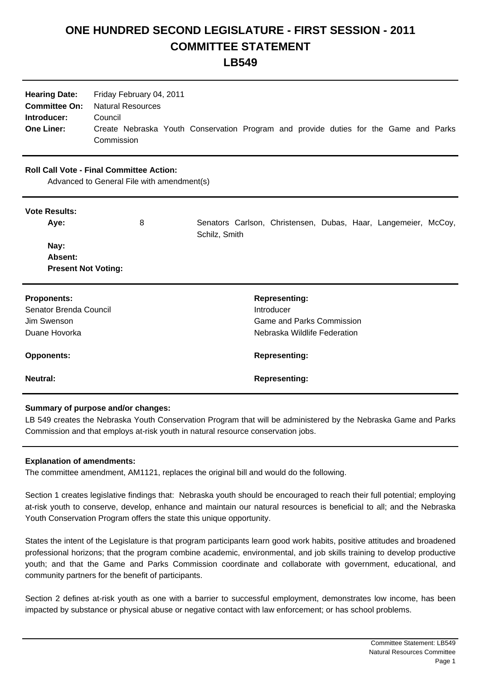## **ONE HUNDRED SECOND LEGISLATURE - FIRST SESSION - 2011 COMMITTEE STATEMENT**

**LB549**

| <b>Hearing Date:</b><br><b>Committee On:</b><br>Introducer:<br><b>One Liner:</b>              | Friday February 04, 2011<br><b>Natural Resources</b><br>Council<br>Commission | Create Nebraska Youth Conservation Program and provide duties for the Game and Parks |
|-----------------------------------------------------------------------------------------------|-------------------------------------------------------------------------------|--------------------------------------------------------------------------------------|
| <b>Roll Call Vote - Final Committee Action:</b><br>Advanced to General File with amendment(s) |                                                                               |                                                                                      |
| <b>Vote Results:</b>                                                                          |                                                                               |                                                                                      |
| Aye:                                                                                          | 8                                                                             | Senators Carlson, Christensen, Dubas, Haar, Langemeier, McCoy,<br>Schilz, Smith      |
| Nay:                                                                                          |                                                                               |                                                                                      |
| Absent:                                                                                       |                                                                               |                                                                                      |
| <b>Present Not Voting:</b>                                                                    |                                                                               |                                                                                      |
| <b>Proponents:</b>                                                                            |                                                                               | <b>Representing:</b>                                                                 |
| Senator Brenda Council                                                                        |                                                                               | Introducer                                                                           |
| Jim Swenson                                                                                   |                                                                               | <b>Game and Parks Commission</b>                                                     |
| Duane Hovorka                                                                                 |                                                                               | Nebraska Wildlife Federation                                                         |
| <b>Opponents:</b>                                                                             |                                                                               | <b>Representing:</b>                                                                 |
| <b>Neutral:</b>                                                                               |                                                                               | <b>Representing:</b>                                                                 |

## **Summary of purpose and/or changes:**

LB 549 creates the Nebraska Youth Conservation Program that will be administered by the Nebraska Game and Parks Commission and that employs at-risk youth in natural resource conservation jobs.

## **Explanation of amendments:**

The committee amendment, AM1121, replaces the original bill and would do the following.

Section 1 creates legislative findings that: Nebraska youth should be encouraged to reach their full potential; employing at-risk youth to conserve, develop, enhance and maintain our natural resources is beneficial to all; and the Nebraska Youth Conservation Program offers the state this unique opportunity.

States the intent of the Legislature is that program participants learn good work habits, positive attitudes and broadened professional horizons; that the program combine academic, environmental, and job skills training to develop productive youth; and that the Game and Parks Commission coordinate and collaborate with government, educational, and community partners for the benefit of participants.

Section 2 defines at-risk youth as one with a barrier to successful employment, demonstrates low income, has been impacted by substance or physical abuse or negative contact with law enforcement; or has school problems.